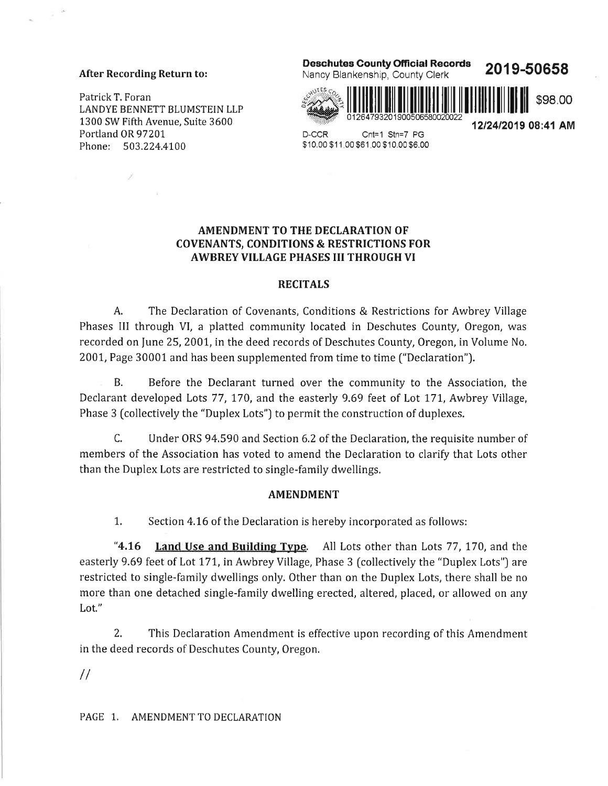#### After Recording Return to:

Ì

Patrick T. Foran LANDYE BENNETT BLUMSTEIN LLP 1300 SW Fifth Avenue, Suite 3600 Portland OR 97201 Phone: 503.224.4100

### Deschutes County Ofricial Records



2019-50658

1212412019 08:41 AM



D-CCR Cnt=1 Stn=7 PG \$10.00 \$1 1.00 \$61.00 \$10.00 \$6.00

# AMENDMENT TO THE DECLARATION OF COVENANTS, CONDITIONS & RESTRICTIONS FOR AWBREY VILLAGE PHASES III THROUGH VI

### RECITALS

A. The Declaration of Covenants, Conditions & Restrictions for Awbrey Village Phases III through VI, a platted community located in Deschutes County, Oregon, was recorded on June 25, 2001, in the deed records of Deschutes County, Oregon, in Volume No. 2001, Page 30001 and has been supplemented from time to time ("Declaration").

B. Before the Declarant turned over the community to the Association, the Declarant developed Lots 77, 170, and the easterly 9.69 feet of Lot 171, Awbrey Village, Phase 3 (collectively the "Duplex Lots") to permit the construction of duplexes.

C. Under ORS 94.590 and Section 6.2 of the Declaration, the requisite number of members of the Association has voted to amend the Declaration to clarify that Lots other than the Duplex Lots are restricted to single-family dwellings,

## AMENDMENT

1. Section 4.16 of the Declaration is hereby incorporated as follows:

"4.16 Land Use and Building Type. All Lots other than Lots 77, 170, and the easterly 9.69 feet of Lot 171, in Awbrey Village, Phase 3 [collectively the "Duplex Lots") are restricted to single-family dwellings only, Other than on the Duplex Lots, there shall be no more than one detached single-family dwelling erected, altered, placed, or allowed on any Lot."

2. This Declaration Amendment is effective upon recording of this Amendment in the deed records of Deschutes County, Oregon.

 $\frac{1}{2}$ 

PAGE 1. AMENDMENT TO DECLARATION